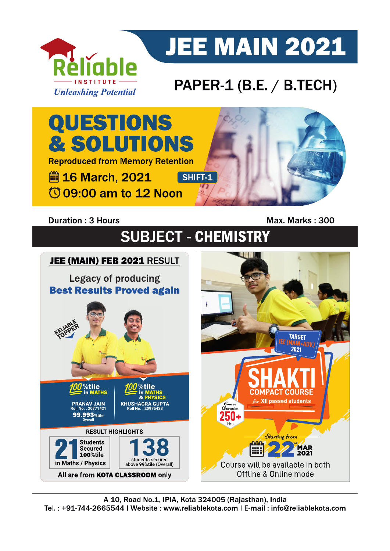

# **JEE MAIN 2021**

## PAPER-1 (B.E. / B.TECH)



### **Duration: 3 Hours**

Max. Marks: 300

# **SUBJECT - CHEMISTRY**

## JEE (MAIN) FEB 2021 RESULT

**Legacy of producing Best Results Proved again** 



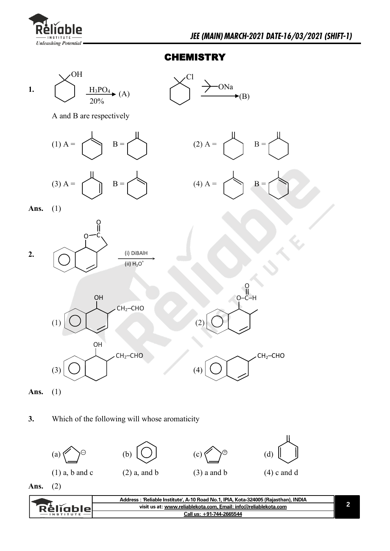

#### **CHEMISTRY**





**Ans.** (2)

| visit us at: www.reliablekota.com, Email: info@reliablekota.com<br>: Reliables |               | Address: 'Reliable Institute', A-10 Road No.1, IPIA, Kota-324005 (Rajasthan), INDIA |  |
|--------------------------------------------------------------------------------|---------------|-------------------------------------------------------------------------------------|--|
|                                                                                |               |                                                                                     |  |
|                                                                                | $-$ INSTITUTE | Call us: +91-744-2665544                                                            |  |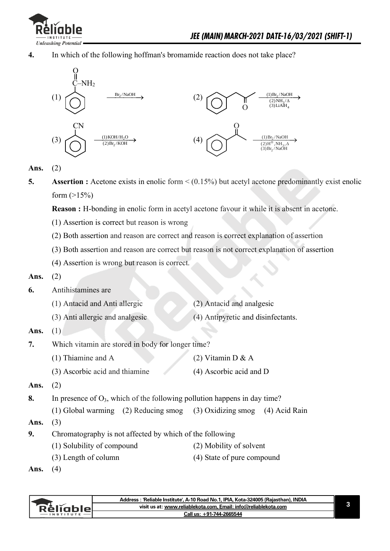

**4.** In which of the following hoffman's bromamide reaction does not take place?



**Ans.** (2)

- **5.** Assertion : Acetone exists in enolic form <  $(0.15\%)$  but acetyl acetone predominantly exist enolic form  $(>15%)$ 
	- **Reason :** H-bonding in enolic form in acetyl acetone favour it while it is absent in acetone.
	- (1) Assertion is correct but reason is wrong
	- (2) Both assertion and reason are correct and reason is correct explanation of assertion
	- (3) Both assertion and reason are correct but reason is not correct explanation of assertion
	- (4) Assertion is wrong but reason is correct.
- **Ans.** (2)
- **6.** Antihistamines are
	- (1) Antacid and Anti allergic (2) Antacid and analgesic (3) Anti allergic and analgesic (4) Antipyretic and disinfectants.
- **Ans.** (1)
- **7.** Which vitamin are stored in body for longer time?
	- (1) Thiamine and A (2) Vitamin D  $\& A$
	- (3) Ascorbic acid and thiamine (4) Ascorbic acid and D
- **Ans.** (2)
- 8. In presence of  $O_3$ , which of the following pollution happens in day time?
- (1) Global warming (2) Reducing smog (3) Oxidizing smog (4) Acid Rain
- **Ans.** (3)
- **9.** Chromatography is not affected by which of the following
	- (1) Solubility of compound (2) Mobility of solvent
		- (3) Length of column (4) State of pure compound
- 

**3**

**Ans.** (4)

|                 | Address: 'Reliable Institute', A-10 Road No.1, IPIA, Kota-324005 (Rajasthan), INDIA |
|-----------------|-------------------------------------------------------------------------------------|
| <b>Réliable</b> | visit us at: www.reliablekota.com. Email: info@reliablekota.com                     |
|                 | Call us: +91-744-2665544                                                            |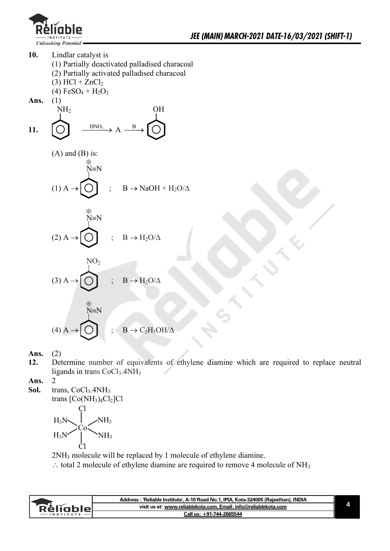

 $\frac{(1)}{2}$ 

- **10.** Lindlar catalyst is
	- (1) Partially deactivated palladised characoal
	- (2) Partially activated palladised characoal
	- $(3)$  HCl + ZnCl<sub>2</sub>
	- $(4)$  FeSO<sub>4</sub> + H<sub>2</sub>O<sub>2</sub>

Ans.

11. 
$$
\overrightarrow{O} \xrightarrow{HNO_2} A \xrightarrow{B} \overrightarrow{O}
$$

(A) and (B) is:  
\n
$$
\overset{\oplus}{\underset{\text{N=N}}{\bigoplus}}
$$
\n(1) A  $\rightarrow$  
$$
\overset{\oplus}{\underset{\text{N=N}}{\bigoplus}}
$$
; B  $\rightarrow$  NaOH + H<sub>2</sub>O/ $\triangle$ 

$$
(2) A \rightarrow \begin{matrix} \oplus \\ N \equiv N \\ \\ \hline \end{matrix} \qquad ; \quad B \rightarrow H_2O/\Delta
$$

$$
(3) A \rightarrow \bigodot^{\text{NO}_2} \quad ; \quad B \rightarrow H_2O/\Delta
$$

$$
\overset{\oplus}{\bigwedge^{N=N}} \qquad \qquad ; \quad B \to C_2 H_5OH/\Delta
$$

**Ans.** (2)

**12.** Determine number of equivalents of ethylene diamine which are required to replace neutral ligands in trans  $CoCl<sub>3</sub>$ .  $4NH<sub>3</sub>$ 

**Ans.** 2

Sol. trans, CoCl<sub>3</sub>.4NH<sub>3</sub> trans  $[Co(NH<sub>3</sub>)<sub>4</sub>Cl<sub>2</sub>Cl$ Co Cl Cl NH<sup>3</sup>  $NH<sub>3</sub>$ H3N  $H_3N$ 

2NH3 molecule will be replaced by 1 molecule of ethylene diamine.

 $\therefore$  total 2 molecule of ethylene diamine are required to remove 4 molecule of NH<sub>3</sub>

|           | Address : 'Reliable Institute', A-10 Road No.1, IPIA, Kota-324005 (Rajasthan), INDIA |  |
|-----------|--------------------------------------------------------------------------------------|--|
| Réligblel | visit us at: www.reliablekota.com, Email: info@reliablekota.com                      |  |
|           | <b>Call us: +91-744-2665544</b>                                                      |  |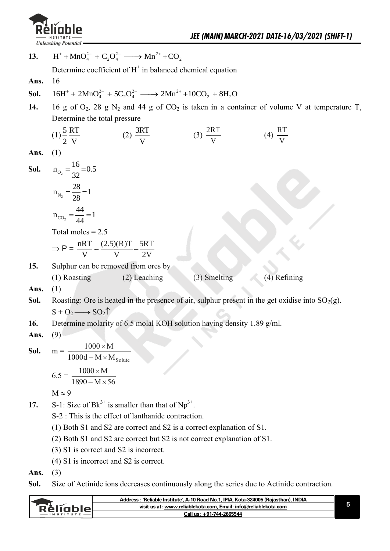

**13.**  ing Potential  $\overline{\mathsf{H}^+ + \mathsf{MnO}_4^{2-} + \mathsf{C}_2\mathsf{O}_4^{2-}} \longrightarrow \mathsf{Mn}^{2+} + \mathsf{CO}_2$ 

Determine coefficient of  $H^+$  in balanced chemical equation

- **Ans.** 16
- **Sol.**   $^{2-}_{1}$  + 5C<sub>2</sub>O<sup>2-</sup> -->  $2Mn^{2+}$  +10 Determine coefficient of H and balanced chemical equation<br>16<br>16H<sup>+</sup> + 2MnO<sub>4</sub><sup>2</sup> + 5C<sub>2</sub>O<sub>4</sub><sup>2</sup> → 2Mn<sup>2+</sup> +10CO<sub>2</sub> + 8H<sub>2</sub>O
- 14. 16 g of  $O_2$ , 28 g  $N_2$  and 44 g of  $CO_2$  is taken in a container of volume V at temperature T, Determine the total pressure

(1) 
$$
\frac{5}{2} \frac{RT}{V}
$$
 (2)  $\frac{3RT}{V}$  (3)  $\frac{2RT}{V}$  (4)  $\frac{RT}{V}$   
\n**Ans.** (1)  
\n**Sol.**  $n_{O_2} = \frac{16}{32} = 0.5$   
\n $n_{N_2} = \frac{28}{28} = 1$   
\n $n_{CO_2} = \frac{44}{44} = 1$   
\nTotal moles = 2.5  
\n $\Rightarrow P = \frac{nRT}{V} = \frac{(2.5)(R)T}{V} = \frac{5RT}{2V}$   
\n**15.** Sulphur can be removed from ones by  
\n(1) Roasting (2) Leaching (3) Smelting (4) Refining

**Ans.** (1)

- **Sol.** Roasting: Ore is heated in the presence of air, sulphur present in the get oxidise into  $SO_2(g)$ .  $S + O_2 \longrightarrow SO_2 \uparrow$
- **16.** Determine molarity of 6.5 molal KOH solution having density 1.89 g/ml.

**Ans.** (9)

**Sol.** 
$$
m = \frac{1000 \times M}{1000d - M \times M_{\text{Solute}}}
$$

$$
6.5 = \frac{1000 \times M}{1000d - M \times M_{\text{Solute}}}
$$

$$
1890 - M \times 56
$$

- $M \approx 9$
- 17. S-1: Size of  $Bk^{3+}$  is smaller than that of  $Np^{3+}$ .
	- S-2 : This is the effect of lanthanide contraction.
	- (1) Both S1 and S2 are correct and S2 is a correct explanation of S1.
	- (2) Both S1 and S2 are correct but S2 is not correct explanation of S1.
	- (3) S1 is correct and S2 is incorrect.
	- (4) S1 is incorrect and S2 is correct.
- **Ans.** (3)
- **Sol.** Size of Actinide ions decreases continuously along the series due to Actinide contraction.

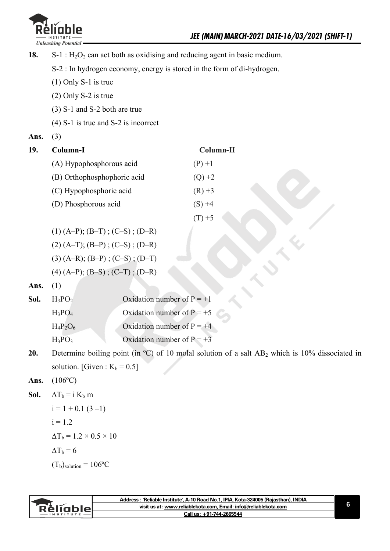

18.  $S-1$ : H<sub>2</sub>O<sub>2</sub> can act both as oxidising and reducing agent in basic medium.

S-2 : In hydrogen economy, energy is stored in the form of di-hydrogen.

- (1) Only S-1 is true
- (2) Only S-2 is true
- (3) S-1 and S-2 both are true
- (4) S-1 is true and S-2 is incorrect
- **Ans.** (3)

| 19. | Column-I                    | Column-II |
|-----|-----------------------------|-----------|
|     | (A) Hypophosphorous acid    | $(P) + 1$ |
|     | (B) Orthophosphophoric acid | $(Q) +2$  |
|     | (C) Hypophosphoric acid     | $(R) +3$  |
|     | (D) Phosphorous acid        | $(S) +4$  |
|     |                             | $+5$      |

 $(1)$  (A–P); (B–T); (C–S); (D–R)  $(2) (A-T); (B-P); (C-S); (D-R)$  $(3)$  (A–R); (B–P); (C–S); (D–T)  $(4) (A-P); (B-S)$ ;  $(C-T)$ ;  $(D-R)$ 

**Ans.** (1)

| <b>Sol.</b> $H_3PO_2$ | Oxidation number of $P = +1$ |
|-----------------------|------------------------------|
| $H_3PO_4$             | Oxidation number of $P = +5$ |
| $H_4P_2O_6$           | Oxidation number of $P = +4$ |
| $H_3PO_3$             | Oxidation number of $P = +3$ |

**20.** Determine boiling point (in °C) of 10 molal solution of a salt AB<sub>2</sub> which is 10% dissociated in solution. [Given :  $K_b = 0.5$ ]

#### **Ans.** (106ºC)

**Sol.**  $\Delta T_b = i K_b m$ 

i = 1 + 0.1 (3 –1)  
i = 1.2  

$$
\Delta T_b
$$
 = 1.2 × 0.5 × 10  
 $\Delta T_b$  = 6  
(T<sub>b</sub>)<sub>solution</sub> = 106°C

|               | Address: 'Reliable Institute', A-10 Road No.1, IPIA, Kota-324005 (Rajasthan), INDIA |  |
|---------------|-------------------------------------------------------------------------------------|--|
| keliabler     | visit us at: www.reliablekota.com, Email: info@reliablekota.com                     |  |
| $-$ INSTITUTE | Call us: +91-744-2665544                                                            |  |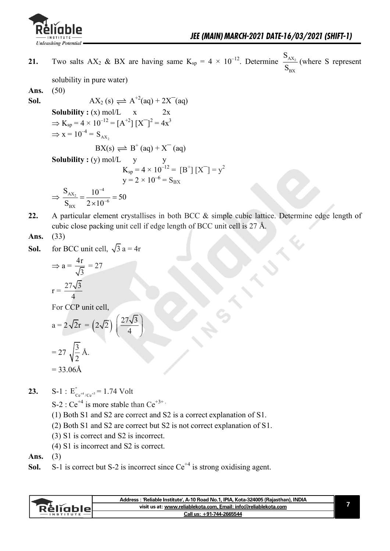

**21.** Two salts AX<sub>2</sub> & BX are having same  $K_{sp} = 4 \times 10^{-12}$ . Determine  $\frac{G_{AX_2}}{2}$ BX S S (where S represent

solubility in pure water)

**Ans.** (50)

**Sol.**  
\n**1**  
\n**Solubility :** (x) mol/L x 2x  
\n
$$
\Rightarrow
$$
 K<sub>sp</sub> = 4 × 10<sup>-12</sup> = [A<sup>+2</sup>][X<sup>-</sup>]<sup>2</sup> = 4x<sup>3</sup>  
\n $\Rightarrow$  x = 10<sup>-4</sup> = S<sub>AX<sub>2</sub></sub>  
\n**1**  
\n**1**  
\n**1**  
\n**1**  
\n**2**  
\n**2**  
\n**3**  
\n**3**  
\n**4**  
\n**5**  
\n**5**  
\n**6**  
\n**6**  
\n**7**  
\n**8**  
\n**8**  
\n**8**  
\n**9**  
\n**1**  
\n**1**  
\n**1**  
\n**1**  
\n**1**  
\n**1**  
\n**1**  
\n**1**  
\n**1**  
\n**1**  
\n**1**  
\n**1**  
\n**1**  
\n**1**  
\n**1**  
\n**1**  
\n**1**  
\n**1**  
\n**1**  
\n**1**  
\n**1**  
\n**1**  
\n**1**  
\n**1**  
\n**1**  
\n**1**  
\n**1**  
\n**1**  
\n**1**  
\n**1**  
\n**1**  
\n**1**  
\n**1**  
\n**1**  
\n**1**  
\n**1**  
\n**1**  
\n**1**  
\n**1**  
\n**1**  
\n**1**  
\n**1**  
\n**1**  
\n**1**  
\n**1**  
\n**1**  
\n**1**  
\n**1**  
\n**1**  
\n**1**  
\n**1**  
\n

- **22.** A particular element crystallises in both BCC & simple cubic lattice. Determine edge length of cubic close packing unit cell if edge length of BCC unit cell is 27 Å.
- **Ans.** (33)
- **Sol.** for BCC unit cell,  $\sqrt{3} a = 4r$

$$
\Rightarrow a = \frac{4r}{\sqrt{3}} = 27
$$

$$
r = \frac{27\sqrt{3}}{4}
$$

For CCP unit cell,

$$
a = 2\sqrt{2}r = (2\sqrt{2})\left(\frac{27\sqrt{3}}{4}\right)
$$

$$
= 27\sqrt{\frac{3}{2}}\text{ Å.}
$$

$$
= 33.06\text{Å}
$$

- **23.**  $S-1 : E_{C_{\alpha}^{+4}/C_{\alpha}^{+3}}^{\circ}$  $E_{Ce^{+4}/Ce^{+3}}^{\circ} = 1.74$  Volt
	- S-2 :  $Ce^{+4}$  is more stable than  $Ce^{+3+}$ .
	- (1) Both S1 and S2 are correct and S2 is a correct explanation of S1.
	- (2) Both S1 and S2 are correct but S2 is not correct explanation of S1.
	- (3) S1 is correct and S2 is incorrect.
	- (4) S1 is incorrect and S2 is correct.

**Ans.** (3)

**Sol.** S-1 is correct but S-2 is incorrect since  $Ce^{+4}$  is strong oxidising agent.

|               | Address : 'Reliable Institute', A-10 Road No.1, IPIA, Kota-324005 (Rajasthan), INDIA |  |
|---------------|--------------------------------------------------------------------------------------|--|
| Keliahle      | visit us at: www.reliablekota.com, Email: info@reliablekota.com                      |  |
| $-$ INSTITUTE | Call us: +91-744-2665544                                                             |  |
|               |                                                                                      |  |